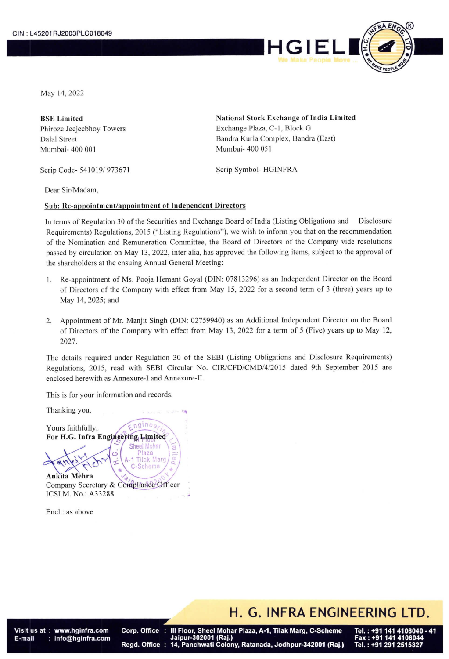

May 14, 2022

Mumbai- 400 001 Mumbai- 400 051

Scrip Code- 541019/ 973671 Scrip Symbol- HGINFRA

BSE Limited **National Stock Exchange of India Limited** Phiroze Jeejeebhoy Towers Exchange Plaza, C-1, Block G Dalal Street Bandra Kurla Complex, Bandra (East)

Dear Sir/Madam,

## Sub: Re-appointment/appointment of Independent Directors

In terms of Regulation 30 of the Securities and Exchange Board of India (Listing Obligations and \_ Disclosure Requirements) Regulations, 2015 ("Listing Regulations"), we wish to inform you that on the recommendation of the Nomination and Remuneration Committee, the Board of Directors of the Company vide resolutions passed by circulation on May 13, 2022, inter alia, has approved the following items, subject to the approval of the shareholders at the ensuing Annual General Meeting:

- 1. Re-appointment of Ms. Pooja Hemant Goyal (DIN: 07813296) as an Independent Director on the Board of Directors of the Company with effect from May 15, 2022 for a second term of 3 (three) years up to May 14, 2025; and
- 2. Appointment of Mr. Manjit Singh (DIN: 02759940) as an Additional Independent Director on the Board of Directors of the Company with effect from May 13, 2022 for a term of 5 (Five) years up to May 12, 2027.

The details required under Regulation 30 of the SEBI (Listing Obligations and Disclosure Requirements) Regulations, 2015, read with SEBI Circular No. CIR/CFD/CMD/4/2015 dated 9th September 2015 are enclosed herewith as Annexure-I and Annexure-II.

This is for your information and records.

Thanking you, 4

Yours faithfully, Yours faithfully,<br>For H.G. Infra Engineering Limited

Scheme **Ankita Mehra** Company Secretary & Compliance Officer ICSI M. No.: A33288

ćń

**Sheel Mohar** 

Plaza **Tilak Marg** 

Encl.: as above

H. G. INFRA ENGINEERING LTD.

t : www.hgi<br>: info@hg<br>: E-mail

Corp. Office : III Floor, Sheel Mohar Plaza, A-1, Tilak Marg, C-Scheme<br>Jaipur-302001 (Raj.)<br>Regd. Office : 14, Panchwati Colony, Ratanada, Jodhpur-342001 (Raj.)

ERING<br>Bl. : +91 141 4<br>Bl. : +91 141 4<br>Bl. : +91 291 2 4106040 - 41 Tel.: +91 291 2515327